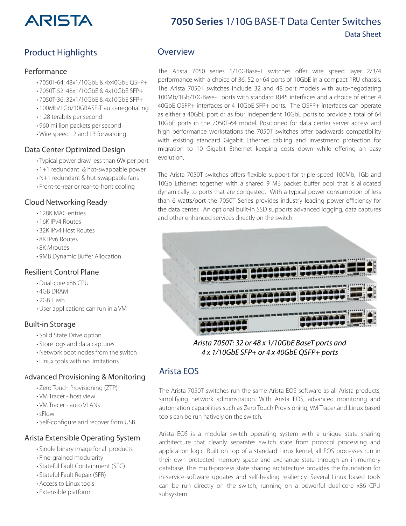Data Sheet

## Product Highlights

#### Performance

- 7050T-64: 48x1/10GbE & 4x40GbE QSFP+
- 7050T-52: 48x1/10GbE & 4x10GbE SFP+
- 7050T-36: 32x1/10GbE & 4x10GbE SFP+
- 100Mb/1Gb/10GBASE-T auto-negotiating
- 1.28 terabits per second
- 960 million packets per second
- Wire speed L2 and L3 forwarding

#### Data Center Optimized Design

- Typical power draw less than 6W per port
- 1+1 redundant & hot-swappable power
- N+1 redundant & hot-swappable fans
- Front-to-rear or rear-to-front cooling

#### Cloud Networking Ready

- 128K MAC entries
- 16K IPv4 Routes
- 32K IPv4 Host Routes
- 8K IPv6 Routes
- 8K Mroutes
- 9MB Dynamic Buffer Allocation

#### Resilient Control Plane

- Dual-core x86 CPU
- 4GB DRAM
- 2GB Flash
- User applications can run in a VM

#### Built-in Storage

- Solid State Drive option
- Store logs and data captures
- Network boot nodes from the switch
- Linux tools with no limitations

#### Advanced Provisioning & Monitoring

- Zero Touch Provisioning (ZTP)
- VM Tracer host view
- VM Tracer auto VLANs
- •sFlow
- Self-configure and recover from USB

#### Arista Extensible Operating System

- Single binary image for all products
- Fine-grained modularity
- Stateful Fault Containment (SFC)
- Stateful Fault Repair (SFR)
- Access to Linux tools
- Extensible platform

#### **Overview**

The Arista 7050 series 1/10GBase-T switches offer wire speed layer 2/3/4 performance with a choice of 36, 52 or 64 ports of 10GbE in a compact 1RU chassis. The Arista 7050T switches include 32 and 48 port models with auto-negotiating 100Mb/1Gb/10GBase-T ports with standard RJ45 interfaces and a choice of either 4 40GbE QSFP+ interfaces or 4 10GbE SFP+ ports. The QSFP+ interfaces can operate as either a 40GbE port or as four independent 10GbE ports to provide a total of 64 10GbE ports in the 7050T-64 model. Positioned for data center server access and high performance workstations the 7050T switches offer backwards compatibility with existing standard Gigabit Ethernet cabling and investment protection for migration to 10 Gigabit Ethernet keeping costs down while offering an easy evolution.

The Arista 7050T switches offers flexible support for triple speed 100Mb, 1Gb and 10Gb Ethernet together with a shared 9 MB packet buffer pool that is allocated dynamically to ports that are congested. With a typical power consumption of less than 6 watts/port the 7050T Series provides industry leading power efficiency for the data center. An optional built-in SSD supports advanced logging, data captures and other enhanced services directly on the switch.



Arista 7050T: 32 or 48 x 1/10GbE BaseT ports and 4 x 1/10GbE SFP+ or 4 x 40GbE QSFP+ ports

## Arista EOS

The Arista 7050T switches run the same Arista EOS software as all Arista products, simplifying network administration. With Arista EOS, advanced monitoring and automation capabilities such as Zero Touch Provisioning, VM Tracer and Linux based tools can be run natively on the switch.

Arista EOS is a modular switch operating system with a unique state sharing architecture that cleanly separates switch state from protocol processing and application logic. Built on top of a standard Linux kernel, all EOS processes run in their own protected memory space and exchange state through an in-memory database. This multi-process state sharing architecture provides the foundation for in-service-software updates and self-healing resiliency. Several Linux based tools can be run directly on the switch, running on a powerful dual-core x86 CPU subsystem.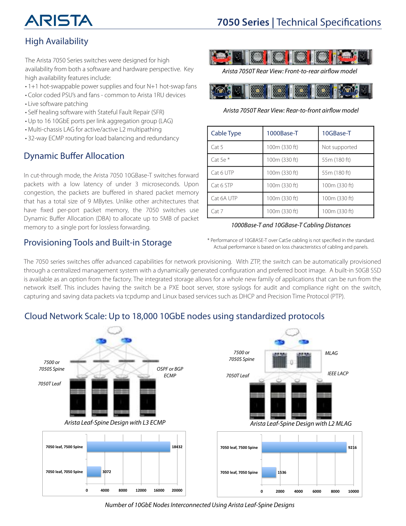# ARISTA

## High Availability

The Arista 7050 Series switches were designed for high availability from both a software and hardware perspective. Key high availability features include:

- 1+1 hot-swappable power supplies and four N+1 hot-swap fans
- Color coded PSU's and fans common to Arista 1RU devices
- Live software patching
- Self healing software with Stateful Fault Repair (SFR)
- Up to 16 10GbE ports per link aggregation group (LAG)
- Multi-chassis LAG for active/active L2 multipathing
- 32-way ECMP routing for load balancing and redundancy

## Dynamic Buffer Allocation

In cut-through mode, the Arista 7050 10GBase-T switches forward packets with a low latency of under 3 microseconds. Upon congestion, the packets are buffered in shared packet memory that has a total size of 9 MBytes. Unlike other architectures that have fixed per-port packet memory, the 7050 switches use Dynamic Buffer Allocation (DBA) to allocate up to 5MB of packet memory to a single port for lossless forwarding.

## Provisioning Tools and Built-in Storage



Arista 7050T Rear View: Front-to-rear airflow model



#### Arista 7050T Rear View: Rear-to-front airflow model

| Cable Type | 1000Base-T    | 10GBase-T     |
|------------|---------------|---------------|
| Cat 5      | 100m (330 ft) | Not supported |
| Cat 5e $*$ | 100m (330 ft) | 55m (180 ft)  |
| Cat 6 UTP  | 100m (330 ft) | 55m (180 ft)  |
| Cat 6 STP  | 100m (330 ft) | 100m (330 ft) |
| Cat 6A UTP | 100m (330 ft) | 100m (330 ft) |
| Cat 7      | 100m (330 ft) | 100m (330 ft) |

#### 1000Base-T and 10GBase-T Cabling Distances

\* Performance of 10GBASE-T over Cat5e cabling is not specified in the standard. Actual performance is based on loss characteristics of cabling and panels.

The 7050 series switches offer advanced capabilities for network provisioning. With ZTP, the switch can be automatically provisioned through a centralized management system with a dynamically generated configuration and preferred boot image. A built-in 50GB SSD is available as an option from the factory. The integrated storage allows for a whole new family of applications that can be run from the network itself. This includes having the switch be a PXE boot server, store syslogs for audit and compliance right on the switch, capturing and saving data packets via tcpdump and Linux based services such as DHCP and Precision Time Protocol (PTP).



## Cloud Network Scale: Up to 18,000 10GbE nodes using standardized protocols

Number of 10GbE Nodes Interconnected Using Arista Leaf-Spine Designs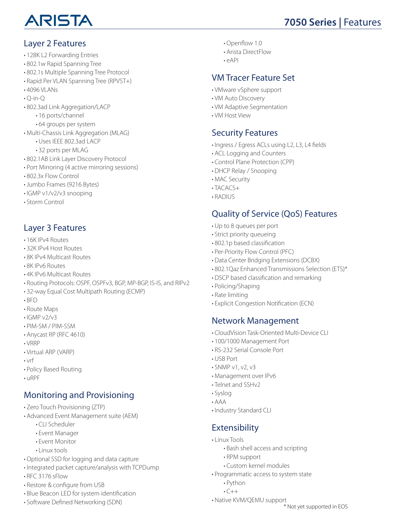

## Layer 2 Features

- 128K L2 Forwarding Entries
- 802.1w Rapid Spanning Tree
- 802.1s Multiple Spanning Tree Protocol
- Rapid Per VLAN Spanning Tree (RPVST+)
- 4096 VLANs
- $\cdot$  O-in-O
- 802.3ad Link Aggregation/LACP
	- 16 ports/channel
	- 64 groups per system
- Multi-Chassis Link Aggregation (MLAG)
	- Uses IEEE 802.3ad LACP
	- 32 ports per MLAG
- 802.1AB Link Layer Discovery Protocol
- Port Mirroring (4 active mirroring sessions)
- 802.3x Flow Control
- Jumbo Frames (9216 Bytes)
- IGMP v1/v2/v3 snooping
- Storm Control

## Layer 3 Features

- 16K IPv4 Routes
- 32K IPv4 Host Routes
- 8K IPv4 Multicast Routes
- 8K IPv6 Routes
- 4K IPv6 Multicast Routes
- Routing Protocols: OSPF, OSPFv3, BGP, MP-BGP, IS-IS, and RIPv2
- 32-way Equal Cost Multipath Routing (ECMP)
- BFD
- Route Maps
- $\cdot$ IGMP v2/v3
- PIM-SM / PIM-SSM
- Anycast RP (RFC 4610)
- VRRP
- Virtual ARP (VARP)
- vrf
- Policy Based Routing
- uRPF

## Monitoring and Provisioning

- Zero Touch Provisioning (ZTP)
- Advanced Event Management suite (AEM)
	- CLI Scheduler
	- Event Manager
	- Event Monitor
	- Linux tools
- Optional SSD for logging and data capture
- Integrated packet capture/analysis with TCPDump
- RFC 3176 sFlow
- Restore & configure from USB
- Blue Beacon LED for system identification
- Software Defined Networking (SDN)
- Openflow 1.0
- Arista DirectFlow
- $\cdot$  eAPI

## VM Tracer Feature Set

- VMware vSphere support
- VM Auto Discovery
- VM Adaptive Segmentation
- VM Host View

### Security Features

- Ingress / Egress ACLs using L2, L3, L4 fields
- ACL Logging and Counters
- Control Plane Protection (CPP)
- DHCP Relay / Snooping
- MAC Security
- $\cdot$ TACACS+
- RADIUS

## Quality of Service (QoS) Features

- Up to 8 queues per port
- Strict priority queueing
- 802.1p based classification
- Per-Priority Flow Control (PFC)
- Data Center Bridging Extensions (DCBX)
- 802.1Qaz Enhanced Transmissions Selection (ETS)\*
- DSCP based classification and remarking
- Policing/Shaping
- Rate limiting
- Explicit Congestion Notification (ECN)

## Network Management

- CloudVision Task-Oriented Multi-Device CLI
- 100/1000 Management Port
- RS-232 Serial Console Port
- USB Port
- SNMP v1, v2, v3
- Management over IPv6
- Telnet and SSHv2
- Syslog
- AAA
- Industry Standard CLI

## **Extensibility**

- Linux Tools
	- Bash shell access and scripting
	- RPM support
	- Custom kernel modules
- Programmatic access to system state
	- Python
	- $\cdot$   $\subset$   $\overline{+}$
- Native KVM/QEMU support

\* Not yet supported in EOS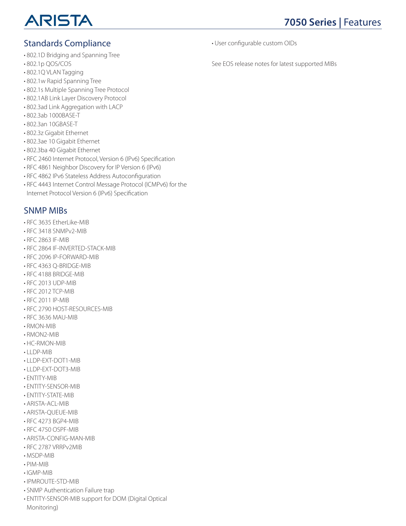

## Standards Compliance

- 802.1D Bridging and Spanning Tree
- 802.1p QOS/COS
- 802.1Q VLAN Tagging
- 802.1w Rapid Spanning Tree
- 802.1s Multiple Spanning Tree Protocol
- 802.1AB Link Layer Discovery Protocol
- 802.3ad Link Aggregation with LACP
- 802.3ab 1000BASE-T
- 802.3an 10GBASE-T
- 802.3z Gigabit Ethernet
- 802.3ae 10 Gigabit Ethernet
- 802.3ba 40 Gigabit Ethernet
- RFC 2460 Internet Protocol, Version 6 (IPv6) Specification
- RFC 4861 Neighbor Discovery for IP Version 6 (IPv6)
- RFC 4862 IPv6 Stateless Address Autoconfiguration
- RFC 4443 Internet Control Message Protocol (ICMPv6) for the Internet Protocol Version 6 (IPv6) Specification

## SNMP MIBs

- RFC 3635 EtherLike-MIB
- RFC 3418 SNMPv2-MIB
- RFC 2863 IF-MIB
- RFC 2864 IF-INVERTED-STACK-MIB
- RFC 2096 IP-FORWARD-MIB
- RFC 4363 Q-BRIDGE-MIB
- RFC 4188 BRIDGE-MIB
- RFC 2013 UDP-MIB
- RFC 2012 TCP-MIB
- RFC 2011 IP-MIB
- RFC 2790 HOST-RESOURCES-MIB
- RFC 3636 MAU-MIB
- RMON-MIB
- RMON2-MIB
- HC-RMON-MIB
- LLDP-MIB
- LLDP-EXT-DOT1-MIB
- LLDP-EXT-DOT3-MIB
- ENTITY-MIB
- ENTITY-SENSOR-MIB
- ENTITY-STATE-MIB
- ARISTA-ACL-MIB
- ARISTA-QUEUE-MIB
- RFC 4273 BGP4-MIB
- RFC 4750 OSPF-MIB
- ARISTA-CONFIG-MAN-MIB
- RFC 2787 VRRPv2MIB
- MSDP-MIB
- PIM-MIB
- IGMP-MIB
- IPMROUTE-STD-MIB
- SNMP Authentication Failure trap
- ENTITY-SENSOR-MIB support for DOM (Digital Optical Monitoring)

• User configurable custom OIDs

See EOS release notes for latest supported MIBs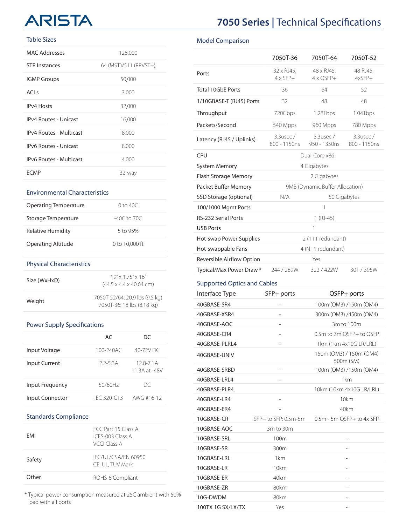# ARISTA

#### Table Sizes

| MAC Addresses                  | 128,000               |
|--------------------------------|-----------------------|
| <b>STP Instances</b>           | 64 (MST)/511 (RPVST+) |
| <b>IGMP Groups</b>             | 50,000                |
| ACI <sub>S</sub>               | 3,000                 |
| <b>IPv4 Hosts</b>              | 32,000                |
| <b>IPv4 Routes - Unicast</b>   | 16,000                |
| <b>IPv4 Routes - Multicast</b> | 8,000                 |
| <b>IPv6 Routes - Unicast</b>   | 8,000                 |
| IPv6 Routes - Multicast        | 4,000                 |
| FCMP                           | 32-way                |

#### Environmental Characteristics

| Operating Temperature     | $0 \text{ to } 40C$ |
|---------------------------|---------------------|
| Storage Temperature       | $-40C$ to 70C       |
| Relative Humidity         | 5 to 95%            |
| <b>Operating Altitude</b> | 0 to 10,000 ft      |

#### Physical Characteristics

| Size (WxHxD) | $19'' \times 175'' \times 16''$<br>$(44.5 \times 4.4 \times 40.64$ cm) |
|--------------|------------------------------------------------------------------------|
| Weight       | 7050T-52/64: 20.9 lbs (9.5 kg)<br>7050T-36: 18 lbs (8.18 kg)           |

#### Power Supply Specifications

|                        | AC             | DC                           |
|------------------------|----------------|------------------------------|
| Input Voltage          | $100 - 240$ AC | 40-72V DC                    |
| <b>Input Current</b>   | $22-53A$       | $128 - 71A$<br>11.3A at -48V |
| Input Frequency        | 50/60Hz        | DC                           |
| <b>Input Connector</b> | IFC 320-C13    | AWG #16-12                   |

#### Standards Compliance

| FMI    | FCC Part 15 Class A<br>ICES-003 Class A<br>VCCLClass A |
|--------|--------------------------------------------------------|
| Safety | IFC/UL/CSA/FN 60950<br>CE, UL, TUV Mark                |
| Other  | ROHS-6 Compliant                                       |

\* Typical power consumption measured at 25C ambient with 50% load with all ports

# **7050 Series | Technical Specifications**

#### Model Comparison

|                             | 7050T-36                        | 7050T-64                       | 7050T-52                 |
|-----------------------------|---------------------------------|--------------------------------|--------------------------|
| Ports                       | 32 x RJ45,<br>$4 \times$ SFP+   | 48 x RJ45,<br>$4 \times$ OSFP+ | 48 RJ45,<br>$4x$ SFP $+$ |
| <b>Total 10GbE Ports</b>    | 36                              | 64                             | 52                       |
| 1/10GBASE-T (RJ45) Ports    | 32                              | 48                             | 48                       |
| Throughput                  | 720Gbps                         | 1.28Tbps                       | 1.04Tbps                 |
| Packets/Second              | 540 Mpps                        | 960 Mpps                       | 780 Mpps                 |
| Latency (RJ45 / Uplinks)    | 3.3usec/<br>800 - 1150ns        | 3.3usec/<br>950 - 1350ns       | 3.3usec/<br>800 - 1150ns |
| <b>CPU</b>                  |                                 | Dual-Core x86                  |                          |
| <b>System Memory</b>        |                                 | 4 Gigabytes                    |                          |
| <b>Flash Storage Memory</b> | 2 Gigabytes                     |                                |                          |
| Packet Buffer Memory        | 9MB (Dynamic Buffer Allocation) |                                |                          |
| SSD Storage (optional)      | N/A<br>50 Gigabytes             |                                |                          |
| 100/1000 Mgmt Ports         | 1                               |                                |                          |
| <b>RS-232 Serial Ports</b>  | $1$ (RJ-45)                     |                                |                          |
| <b>USB Ports</b>            | 1                               |                                |                          |
| Hot-swap Power Supplies     | $2(1+1$ redundant)              |                                |                          |
| Hot-swappable Fans          | 4 (N+1 redundant)               |                                |                          |
| Reversible Airflow Option   | Yes                             |                                |                          |
| Typical/Max Power Draw *    | 244 / 289W                      | 322/422W                       | 301/395W                 |

#### Supported Optics and Cables

| Interface Type    | SFP+ ports           | QSFP+ ports                          |
|-------------------|----------------------|--------------------------------------|
| 40GBASE-SR4       |                      | 100m (OM3) /150m (OM4)               |
| 40GBASE-XSR4      |                      | 300m (OM3) /450m (OM4)               |
| 40GBASE-AOC       |                      | 3m to 100m                           |
| 40GBASE-CR4       |                      | 0.5m to 7m QSFP+ to QSFP             |
| 40GBASE-PLRL4     |                      | 1km (1km 4x10G LR/LRL)               |
| 40GBASE-UNIV      |                      | 150m (OM3) / 150m (OM4)<br>500m (SM) |
| 40GBASE-SRBD      |                      | 100m (OM3) /150m (OM4)               |
| 40GBASE-LRL4      |                      | 1km                                  |
| 40GBASE-PLR4      |                      | 10km (10km 4x10G LR/LRL)             |
| 40GBASE-LR4       |                      | 10km                                 |
| 40GBASE-ER4       |                      | 40km                                 |
| 10GBASE-CR        | SFP+ to SFP: 0.5m-5m | 0.5m - 5m QSFP+ to 4x SFP            |
| 10GBASE-AOC       | 3m to 30m            |                                      |
| 10GBASE-SRL       | 100m                 |                                      |
| 10GBASE-SR        | 300m                 |                                      |
| 10GBASE-LRL       | 1 <sub>km</sub>      |                                      |
| 10GBASE-LR        | 10km                 |                                      |
| 10GBASE-ER        | 40km                 |                                      |
| 10GBASE-ZR        | 80km                 | $\overline{a}$                       |
| 10G-DWDM          | 80km                 |                                      |
| 100TX 1G SX/LX/TX | Yes                  |                                      |